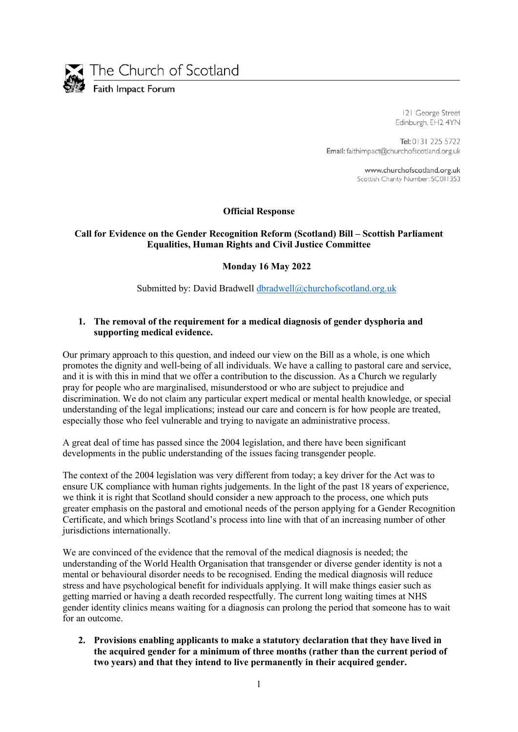

The Church of Scotland

Faith Impact Forum

121 George Street Edinburgh, EH2 4YN

Tel: 0131 225 5722 Email: faithimpact@churchofscotland.org.uk

> www.churchofscotland.org.uk Scottish Charity Number: SC011353

### **Official Response**

### **Call for Evidence on the Gender Recognition Reform (Scotland) Bill – Scottish Parliament Equalities, Human Rights and Civil Justice Committee**

### **Monday 16 May 2022**

Submitted by: David Bradwell dbradwell@churchofscotland.org.uk

### **1. The removal of the requirement for a medical diagnosis of gender dysphoria and supporting medical evidence.**

Our primary approach to this question, and indeed our view on the Bill as a whole, is one which promotes the dignity and well-being of all individuals. We have a calling to pastoral care and service, and it is with this in mind that we offer a contribution to the discussion. As a Church we regularly pray for people who are marginalised, misunderstood or who are subject to prejudice and discrimination. We do not claim any particular expert medical or mental health knowledge, or special understanding of the legal implications; instead our care and concern is for how people are treated, especially those who feel vulnerable and trying to navigate an administrative process.

A great deal of time has passed since the 2004 legislation, and there have been significant developments in the public understanding of the issues facing transgender people.

The context of the 2004 legislation was very different from today; a key driver for the Act was to ensure UK compliance with human rights judgements. In the light of the past 18 years of experience, we think it is right that Scotland should consider a new approach to the process, one which puts greater emphasis on the pastoral and emotional needs of the person applying for a Gender Recognition Certificate, and which brings Scotland's process into line with that of an increasing number of other jurisdictions internationally.

We are convinced of the evidence that the removal of the medical diagnosis is needed; the understanding of the World Health Organisation that transgender or diverse gender identity is not a mental or behavioural disorder needs to be recognised. Ending the medical diagnosis will reduce stress and have psychological benefit for individuals applying. It will make things easier such as getting married or having a death recorded respectfully. The current long waiting times at NHS gender identity clinics means waiting for a diagnosis can prolong the period that someone has to wait for an outcome.

**2. Provisions enabling applicants to make a statutory declaration that they have lived in the acquired gender for a minimum of three months (rather than the current period of two years) and that they intend to live permanently in their acquired gender.**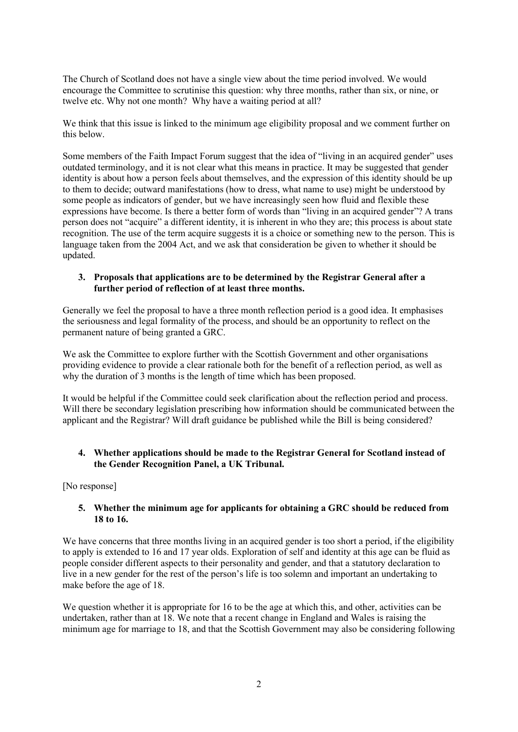The Church of Scotland does not have a single view about the time period involved. We would encourage the Committee to scrutinise this question: why three months, rather than six, or nine, or twelve etc. Why not one month? Why have a waiting period at all?

We think that this issue is linked to the minimum age eligibility proposal and we comment further on this below.

Some members of the Faith Impact Forum suggest that the idea of "living in an acquired gender" uses outdated terminology, and it is not clear what this means in practice. It may be suggested that gender identity is about how a person feels about themselves, and the expression of this identity should be up to them to decide; outward manifestations (how to dress, what name to use) might be understood by some people as indicators of gender, but we have increasingly seen how fluid and flexible these expressions have become. Is there a better form of words than "living in an acquired gender"? A trans person does not "acquire" a different identity, it is inherent in who they are; this process is about state recognition. The use of the term acquire suggests it is a choice or something new to the person. This is language taken from the 2004 Act, and we ask that consideration be given to whether it should be updated.

#### **3. Proposals that applications are to be determined by the Registrar General after a further period of reflection of at least three months.**

Generally we feel the proposal to have a three month reflection period is a good idea. It emphasises the seriousness and legal formality of the process, and should be an opportunity to reflect on the permanent nature of being granted a GRC.

We ask the Committee to explore further with the Scottish Government and other organisations providing evidence to provide a clear rationale both for the benefit of a reflection period, as well as why the duration of 3 months is the length of time which has been proposed.

It would be helpful if the Committee could seek clarification about the reflection period and process. Will there be secondary legislation prescribing how information should be communicated between the applicant and the Registrar? Will draft guidance be published while the Bill is being considered?

### **4. Whether applications should be made to the Registrar General for Scotland instead of the Gender Recognition Panel, a UK Tribunal.**

[No response]

### **5. Whether the minimum age for applicants for obtaining a GRC should be reduced from 18 to 16.**

We have concerns that three months living in an acquired gender is too short a period, if the eligibility to apply is extended to 16 and 17 year olds. Exploration of self and identity at this age can be fluid as people consider different aspects to their personality and gender, and that a statutory declaration to live in a new gender for the rest of the person's life is too solemn and important an undertaking to make before the age of 18.

We question whether it is appropriate for 16 to be the age at which this, and other, activities can be undertaken, rather than at 18. We note that a recent change in England and Wales is raising the minimum age for marriage to 18, and that the Scottish Government may also be considering following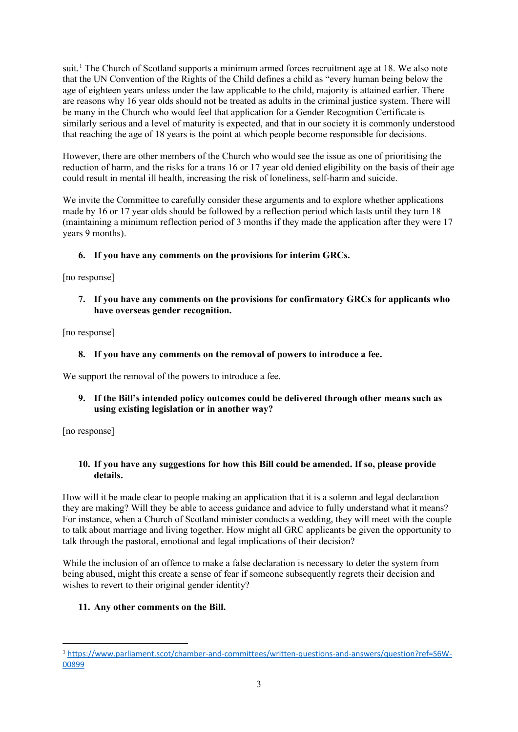suit.<sup>[1](#page-2-0)</sup> The Church of Scotland supports a minimum armed forces recruitment age at 18. We also note that the UN Convention of the Rights of the Child defines a child as "every human being below the age of eighteen years unless under the law applicable to the child, majority is attained earlier. There are reasons why 16 year olds should not be treated as adults in the criminal justice system. There will be many in the Church who would feel that application for a Gender Recognition Certificate is similarly serious and a level of maturity is expected, and that in our society it is commonly understood that reaching the age of 18 years is the point at which people become responsible for decisions.

However, there are other members of the Church who would see the issue as one of prioritising the reduction of harm, and the risks for a trans 16 or 17 year old denied eligibility on the basis of their age could result in mental ill health, increasing the risk of loneliness, self-harm and suicide.

We invite the Committee to carefully consider these arguments and to explore whether applications made by 16 or 17 year olds should be followed by a reflection period which lasts until they turn 18 (maintaining a minimum reflection period of 3 months if they made the application after they were 17 years 9 months).

# **6. If you have any comments on the provisions for interim GRCs.**

[no response]

**7. If you have any comments on the provisions for confirmatory GRCs for applicants who have overseas gender recognition.**

[no response]

## **8. If you have any comments on the removal of powers to introduce a fee.**

We support the removal of the powers to introduce a fee.

## **9. If the Bill's intended policy outcomes could be delivered through other means such as using existing legislation or in another way?**

[no response]

## **10. If you have any suggestions for how this Bill could be amended. If so, please provide details.**

How will it be made clear to people making an application that it is a solemn and legal declaration they are making? Will they be able to access guidance and advice to fully understand what it means? For instance, when a Church of Scotland minister conducts a wedding, they will meet with the couple to talk about marriage and living together. How might all GRC applicants be given the opportunity to talk through the pastoral, emotional and legal implications of their decision?

While the inclusion of an offence to make a false declaration is necessary to deter the system from being abused, might this create a sense of fear if someone subsequently regrets their decision and wishes to revert to their original gender identity?

## **11. Any other comments on the Bill.**

<span id="page-2-0"></span><sup>1</sup> [https://www.parliament.scot/chamber-and-committees/written-questions-and-answers/question?ref=S6W-](https://www.parliament.scot/chamber-and-committees/written-questions-and-answers/question?ref=S6W-00899)[00899](https://www.parliament.scot/chamber-and-committees/written-questions-and-answers/question?ref=S6W-00899)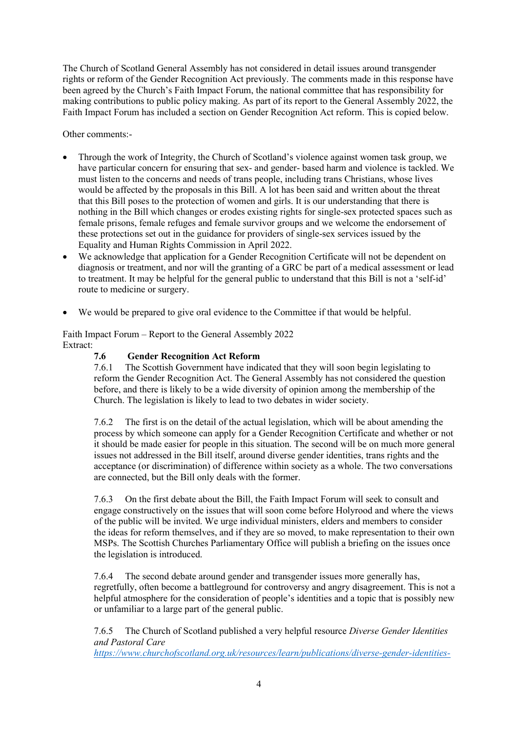The Church of Scotland General Assembly has not considered in detail issues around transgender rights or reform of the Gender Recognition Act previously. The comments made in this response have been agreed by the Church's Faith Impact Forum, the national committee that has responsibility for making contributions to public policy making. As part of its report to the General Assembly 2022, the Faith Impact Forum has included a section on Gender Recognition Act reform. This is copied below.

Other comments:-

- Through the work of Integrity, the Church of Scotland's violence against women task group, we have particular concern for ensuring that sex- and gender- based harm and violence is tackled. We must listen to the concerns and needs of trans people, including trans Christians, whose lives would be affected by the proposals in this Bill. A lot has been said and written about the threat that this Bill poses to the protection of women and girls. It is our understanding that there is nothing in the Bill which changes or erodes existing rights for single-sex protected spaces such as female prisons, female refuges and female survivor groups and we welcome the endorsement of these protections set out in the guidance for providers of single-sex services issued by the Equality and Human Rights Commission in April 2022.
- We acknowledge that application for a Gender Recognition Certificate will not be dependent on diagnosis or treatment, and nor will the granting of a GRC be part of a medical assessment or lead to treatment. It may be helpful for the general public to understand that this Bill is not a 'self-id' route to medicine or surgery.
- We would be prepared to give oral evidence to the Committee if that would be helpful.

Faith Impact Forum – Report to the General Assembly 2022 Extract:

# **7.6 Gender Recognition Act Reform**

7.6.1 The Scottish Government have indicated that they will soon begin legislating to reform the Gender Recognition Act. The General Assembly has not considered the question before, and there is likely to be a wide diversity of opinion among the membership of the Church. The legislation is likely to lead to two debates in wider society.

7.6.2 The first is on the detail of the actual legislation, which will be about amending the process by which someone can apply for a Gender Recognition Certificate and whether or not it should be made easier for people in this situation. The second will be on much more general issues not addressed in the Bill itself, around diverse gender identities, trans rights and the acceptance (or discrimination) of difference within society as a whole. The two conversations are connected, but the Bill only deals with the former.

7.6.3 On the first debate about the Bill, the Faith Impact Forum will seek to consult and engage constructively on the issues that will soon come before Holyrood and where the views of the public will be invited. We urge individual ministers, elders and members to consider the ideas for reform themselves, and if they are so moved, to make representation to their own MSPs. The Scottish Churches Parliamentary Office will publish a briefing on the issues once the legislation is introduced.

7.6.4 The second debate around gender and transgender issues more generally has, regretfully, often become a battleground for controversy and angry disagreement. This is not a helpful atmosphere for the consideration of people's identities and a topic that is possibly new or unfamiliar to a large part of the general public.

7.6.5 The Church of Scotland published a very helpful resource *Diverse Gender Identities and Pastoral Care* 

*[https://www.churchofscotland.org.uk/resources/learn/publications/diverse-gender-identities-](https://www.churchofscotland.org.uk/resources/learn/publications/diverse-gender-identities-and-pastoral-care)*